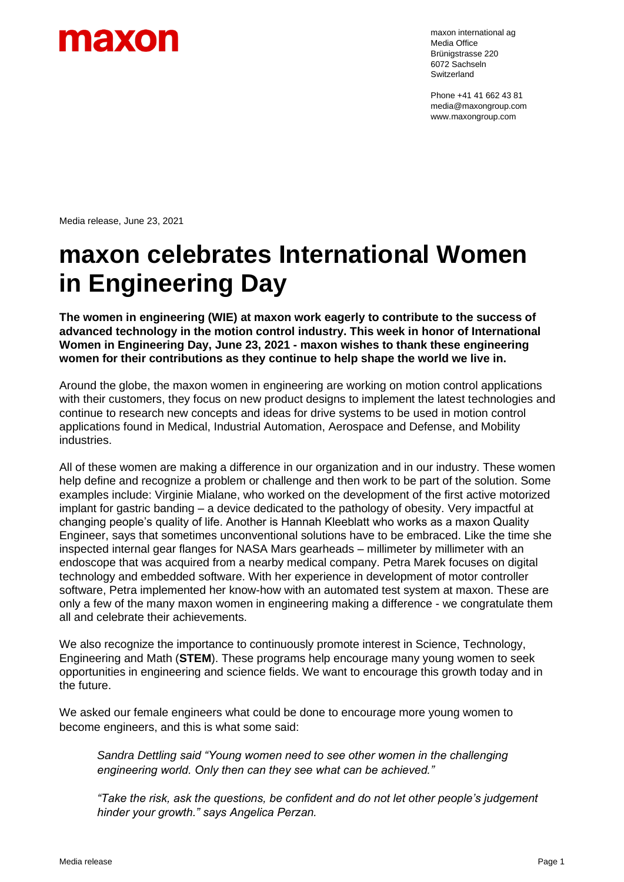

maxon international ag Media Office Brünigstrasse 220 6072 Sachseln Switzerland

Phone +41 41 662 43 81 media@maxongroup.com www.maxongroup.com

Media release, June 23, 2021

## **maxon celebrates International Women in Engineering Day**

**The women in engineering (WIE) at maxon work eagerly to contribute to the success of advanced technology in the motion control industry. This week in honor of International Women in Engineering Day, June 23, 2021 - maxon wishes to thank these engineering women for their contributions as they continue to help shape the world we live in.**

Around the globe, the maxon women in engineering are working on motion control applications with their customers, they focus on new product designs to implement the latest technologies and continue to research new concepts and ideas for drive systems to be used in motion control applications found in Medical, Industrial Automation, Aerospace and Defense, and Mobility industries.

All of these women are making a difference in our organization and in our industry. These women help define and recognize a problem or challenge and then work to be part of the solution. Some examples include: Virginie Mialane, who worked on the development of the first active motorized implant for gastric banding – a device dedicated to the pathology of obesity. Very impactful at changing people's quality of life. Another is Hannah Kleeblatt who works as a maxon Quality Engineer, says that sometimes unconventional solutions have to be embraced. Like the time she inspected internal gear flanges for NASA Mars gearheads – millimeter by millimeter with an endoscope that was acquired from a nearby medical company. Petra Marek focuses on digital technology and embedded software. With her experience in development of motor controller software, Petra implemented her know-how with an automated test system at maxon. These are only a few of the many maxon women in engineering making a difference - we congratulate them all and celebrate their achievements.

We also recognize the importance to continuously promote interest in Science, Technology, Engineering and Math (**STEM**). These programs help encourage many young women to seek opportunities in engineering and science fields. We want to encourage this growth today and in the future.

We asked our female engineers what could be done to encourage more young women to become engineers, and this is what some said:

*Sandra Dettling said "Young women need to see other women in the challenging engineering world. Only then can they see what can be achieved."*

*"Take the risk, ask the questions, be confident and do not let other people's judgement hinder your growth." says Angelica Perzan.*